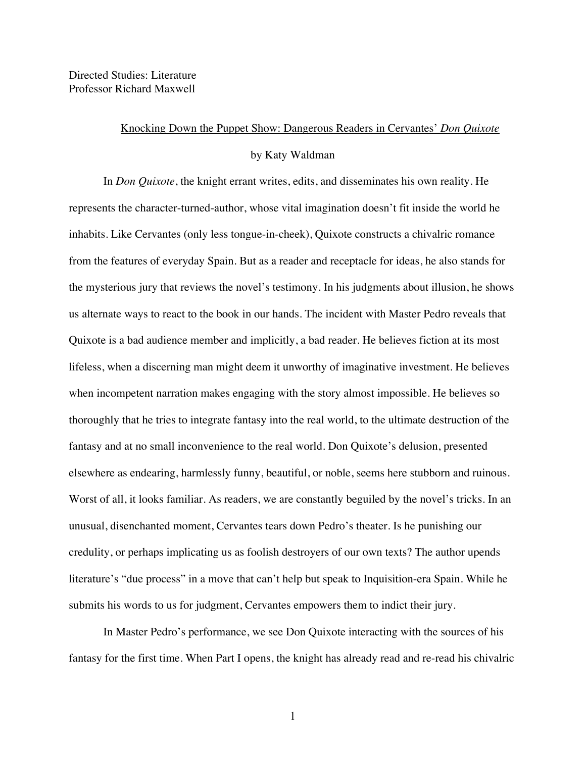Directed Studies: Literature Professor Richard Maxwell

## Knocking Down the Puppet Show: Dangerous Readers in Cervantes' *Don Quixote*

## by Katy Waldman

In *Don Quixote*, the knight errant writes, edits, and disseminates his own reality. He represents the character-turned-author, whose vital imagination doesn't fit inside the world he inhabits. Like Cervantes (only less tongue-in-cheek), Quixote constructs a chivalric romance from the features of everyday Spain. But as a reader and receptacle for ideas, he also stands for the mysterious jury that reviews the novel's testimony. In his judgments about illusion, he shows us alternate ways to react to the book in our hands. The incident with Master Pedro reveals that Quixote is a bad audience member and implicitly, a bad reader. He believes fiction at its most lifeless, when a discerning man might deem it unworthy of imaginative investment. He believes when incompetent narration makes engaging with the story almost impossible. He believes so thoroughly that he tries to integrate fantasy into the real world, to the ultimate destruction of the fantasy and at no small inconvenience to the real world. Don Quixote's delusion, presented elsewhere as endearing, harmlessly funny, beautiful, or noble, seems here stubborn and ruinous. Worst of all, it looks familiar. As readers, we are constantly beguiled by the novel's tricks. In an unusual, disenchanted moment, Cervantes tears down Pedro's theater. Is he punishing our credulity, or perhaps implicating us as foolish destroyers of our own texts? The author upends literature's "due process" in a move that can't help but speak to Inquisition-era Spain. While he submits his words to us for judgment, Cervantes empowers them to indict their jury.

In Master Pedro's performance, we see Don Quixote interacting with the sources of his fantasy for the first time. When Part I opens, the knight has already read and re-read his chivalric

1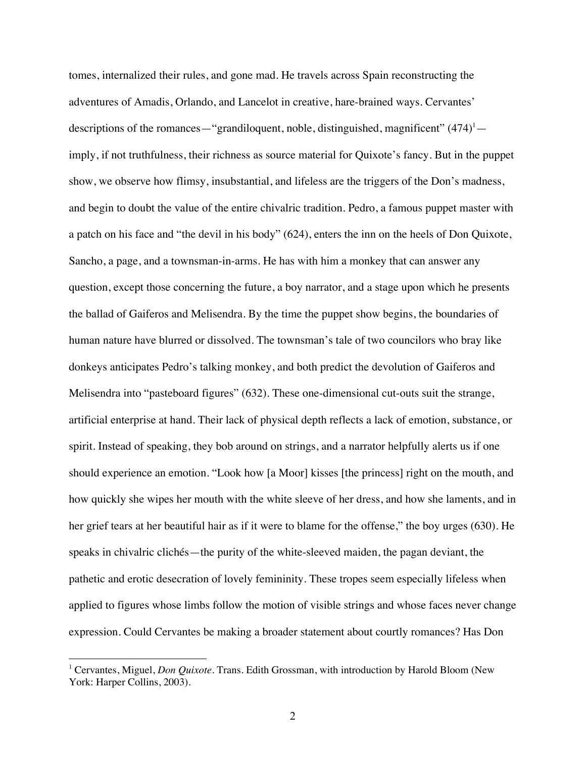tomes, internalized their rules, and gone mad. He travels across Spain reconstructing the adventures of Amadis, Orlando, and Lancelot in creative, hare-brained ways. Cervantes' descriptions of the romances—"grandiloquent, noble, distinguished, magnificent"  $(474)^{1}$  imply, if not truthfulness, their richness as source material for Quixote's fancy. But in the puppet show, we observe how flimsy, insubstantial, and lifeless are the triggers of the Don's madness, and begin to doubt the value of the entire chivalric tradition. Pedro, a famous puppet master with a patch on his face and "the devil in his body" (624), enters the inn on the heels of Don Quixote, Sancho, a page, and a townsman-in-arms. He has with him a monkey that can answer any question, except those concerning the future, a boy narrator, and a stage upon which he presents the ballad of Gaiferos and Melisendra. By the time the puppet show begins, the boundaries of human nature have blurred or dissolved. The townsman's tale of two councilors who bray like donkeys anticipates Pedro's talking monkey, and both predict the devolution of Gaiferos and Melisendra into "pasteboard figures" (632). These one-dimensional cut-outs suit the strange, artificial enterprise at hand. Their lack of physical depth reflects a lack of emotion, substance, or spirit. Instead of speaking, they bob around on strings, and a narrator helpfully alerts us if one should experience an emotion. "Look how [a Moor] kisses [the princess] right on the mouth, and how quickly she wipes her mouth with the white sleeve of her dress, and how she laments, and in her grief tears at her beautiful hair as if it were to blame for the offense," the boy urges (630). He speaks in chivalric clichés—the purity of the white-sleeved maiden, the pagan deviant, the pathetic and erotic desecration of lovely femininity. These tropes seem especially lifeless when applied to figures whose limbs follow the motion of visible strings and whose faces never change expression. Could Cervantes be making a broader statement about courtly romances? Has Don

<sup>&</sup>lt;sup>1</sup> Cervantes, Miguel, *Don Quixote*. Trans. Edith Grossman, with introduction by Harold Bloom (New) York: Harper Collins, 2003).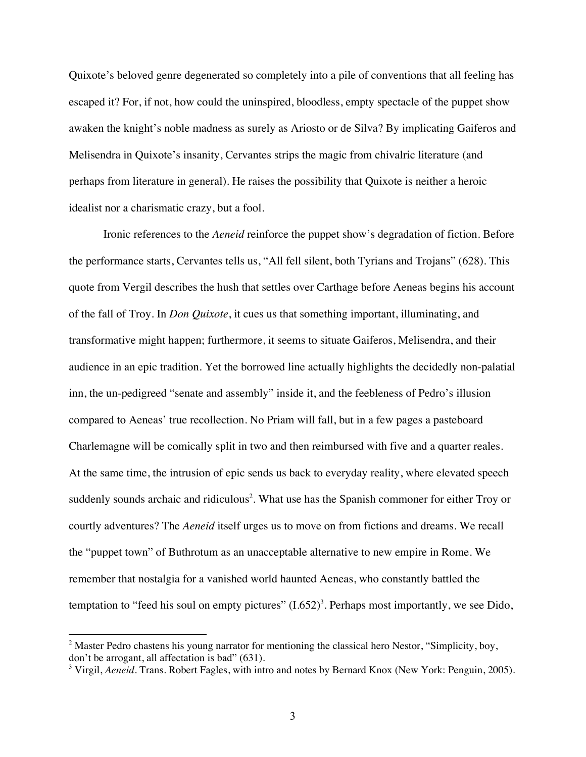Quixote's beloved genre degenerated so completely into a pile of conventions that all feeling has escaped it? For, if not, how could the uninspired, bloodless, empty spectacle of the puppet show awaken the knight's noble madness as surely as Ariosto or de Silva? By implicating Gaiferos and Melisendra in Quixote's insanity, Cervantes strips the magic from chivalric literature (and perhaps from literature in general). He raises the possibility that Quixote is neither a heroic idealist nor a charismatic crazy, but a fool.

Ironic references to the *Aeneid* reinforce the puppet show's degradation of fiction. Before the performance starts, Cervantes tells us, "All fell silent, both Tyrians and Trojans" (628). This quote from Vergil describes the hush that settles over Carthage before Aeneas begins his account of the fall of Troy. In *Don Quixote*, it cues us that something important, illuminating, and transformative might happen; furthermore, it seems to situate Gaiferos, Melisendra, and their audience in an epic tradition. Yet the borrowed line actually highlights the decidedly non-palatial inn, the un-pedigreed "senate and assembly" inside it, and the feebleness of Pedro's illusion compared to Aeneas' true recollection. No Priam will fall, but in a few pages a pasteboard Charlemagne will be comically split in two and then reimbursed with five and a quarter reales. At the same time, the intrusion of epic sends us back to everyday reality, where elevated speech suddenly sounds archaic and ridiculous<sup>2</sup>. What use has the Spanish commoner for either Troy or courtly adventures? The *Aeneid* itself urges us to move on from fictions and dreams. We recall the "puppet town" of Buthrotum as an unacceptable alternative to new empire in Rome. We remember that nostalgia for a vanished world haunted Aeneas, who constantly battled the temptation to "feed his soul on empty pictures"  $(1.652)^3$ . Perhaps most importantly, we see Dido,

<sup>&</sup>lt;sup>2</sup> Master Pedro chastens his young narrator for mentioning the classical hero Nestor, "Simplicity, boy, don't be arrogant, all affectation is bad" (631).

<sup>&</sup>lt;sup>3</sup> Virgil, *Aeneid*. Trans. Robert Fagles, with intro and notes by Bernard Knox (New York: Penguin, 2005).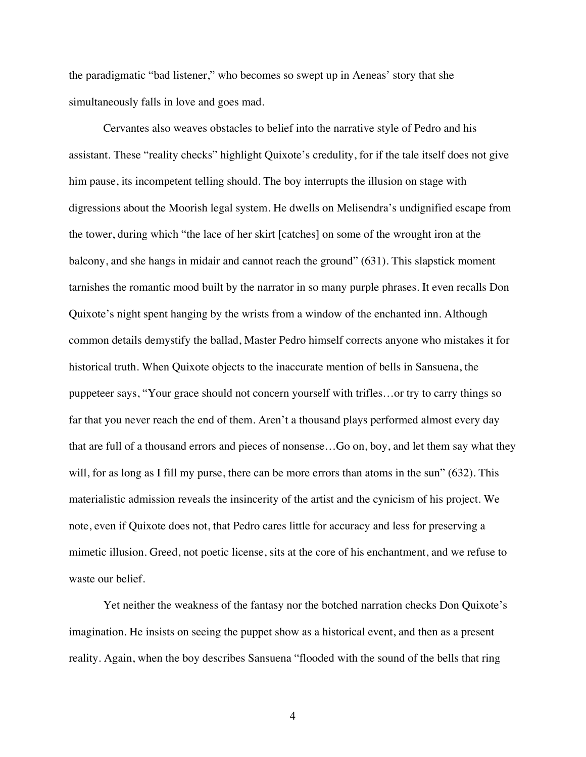the paradigmatic "bad listener," who becomes so swept up in Aeneas' story that she simultaneously falls in love and goes mad.

Cervantes also weaves obstacles to belief into the narrative style of Pedro and his assistant. These "reality checks" highlight Quixote's credulity, for if the tale itself does not give him pause, its incompetent telling should. The boy interrupts the illusion on stage with digressions about the Moorish legal system. He dwells on Melisendra's undignified escape from the tower, during which "the lace of her skirt [catches] on some of the wrought iron at the balcony, and she hangs in midair and cannot reach the ground" (631). This slapstick moment tarnishes the romantic mood built by the narrator in so many purple phrases. It even recalls Don Quixote's night spent hanging by the wrists from a window of the enchanted inn. Although common details demystify the ballad, Master Pedro himself corrects anyone who mistakes it for historical truth. When Quixote objects to the inaccurate mention of bells in Sansuena, the puppeteer says, "Your grace should not concern yourself with trifles…or try to carry things so far that you never reach the end of them. Aren't a thousand plays performed almost every day that are full of a thousand errors and pieces of nonsense…Go on, boy, and let them say what they will, for as long as I fill my purse, there can be more errors than atoms in the sun" (632). This materialistic admission reveals the insincerity of the artist and the cynicism of his project. We note, even if Quixote does not, that Pedro cares little for accuracy and less for preserving a mimetic illusion. Greed, not poetic license, sits at the core of his enchantment, and we refuse to waste our belief.

Yet neither the weakness of the fantasy nor the botched narration checks Don Quixote's imagination. He insists on seeing the puppet show as a historical event, and then as a present reality. Again, when the boy describes Sansuena "flooded with the sound of the bells that ring

4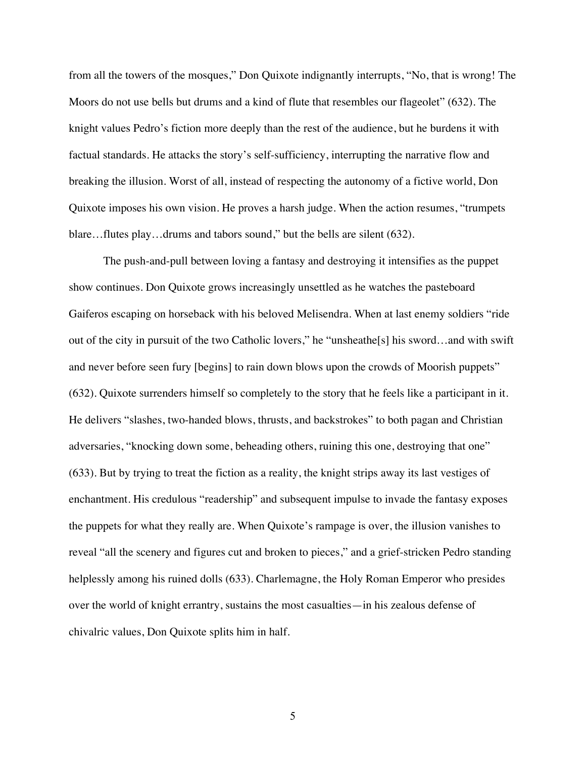from all the towers of the mosques," Don Quixote indignantly interrupts, "No, that is wrong! The Moors do not use bells but drums and a kind of flute that resembles our flageolet" (632). The knight values Pedro's fiction more deeply than the rest of the audience, but he burdens it with factual standards. He attacks the story's self-sufficiency, interrupting the narrative flow and breaking the illusion. Worst of all, instead of respecting the autonomy of a fictive world, Don Quixote imposes his own vision. He proves a harsh judge. When the action resumes, "trumpets blare…flutes play…drums and tabors sound," but the bells are silent (632).

The push-and-pull between loving a fantasy and destroying it intensifies as the puppet show continues. Don Quixote grows increasingly unsettled as he watches the pasteboard Gaiferos escaping on horseback with his beloved Melisendra. When at last enemy soldiers "ride out of the city in pursuit of the two Catholic lovers," he "unsheathe[s] his sword…and with swift and never before seen fury [begins] to rain down blows upon the crowds of Moorish puppets" (632). Quixote surrenders himself so completely to the story that he feels like a participant in it. He delivers "slashes, two-handed blows, thrusts, and backstrokes" to both pagan and Christian adversaries, "knocking down some, beheading others, ruining this one, destroying that one" (633). But by trying to treat the fiction as a reality, the knight strips away its last vestiges of enchantment. His credulous "readership" and subsequent impulse to invade the fantasy exposes the puppets for what they really are. When Quixote's rampage is over, the illusion vanishes to reveal "all the scenery and figures cut and broken to pieces," and a grief-stricken Pedro standing helplessly among his ruined dolls (633). Charlemagne, the Holy Roman Emperor who presides over the world of knight errantry, sustains the most casualties—in his zealous defense of chivalric values, Don Quixote splits him in half.

5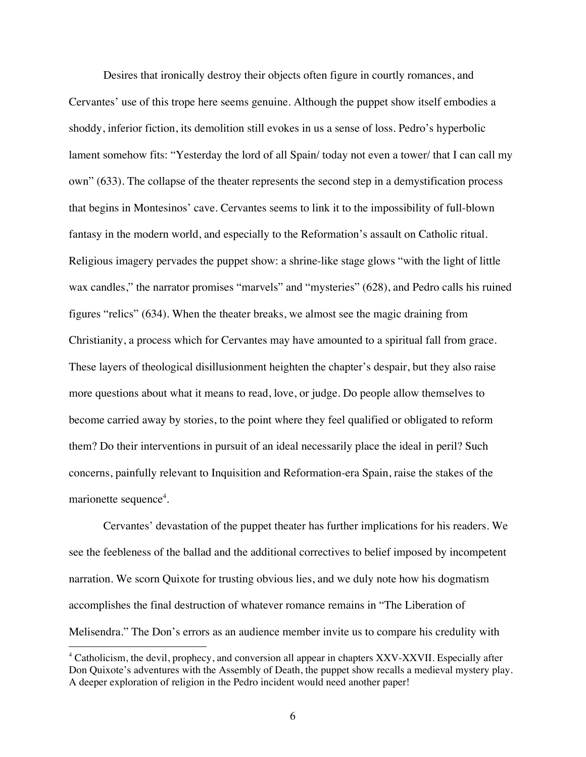Desires that ironically destroy their objects often figure in courtly romances, and Cervantes' use of this trope here seems genuine. Although the puppet show itself embodies a shoddy, inferior fiction, its demolition still evokes in us a sense of loss. Pedro's hyperbolic lament somehow fits: "Yesterday the lord of all Spain/ today not even a tower/ that I can call my own" (633). The collapse of the theater represents the second step in a demystification process that begins in Montesinos' cave. Cervantes seems to link it to the impossibility of full-blown fantasy in the modern world, and especially to the Reformation's assault on Catholic ritual. Religious imagery pervades the puppet show: a shrine-like stage glows "with the light of little wax candles," the narrator promises "marvels" and "mysteries" (628), and Pedro calls his ruined figures "relics" (634). When the theater breaks, we almost see the magic draining from Christianity, a process which for Cervantes may have amounted to a spiritual fall from grace. These layers of theological disillusionment heighten the chapter's despair, but they also raise more questions about what it means to read, love, or judge. Do people allow themselves to become carried away by stories, to the point where they feel qualified or obligated to reform them? Do their interventions in pursuit of an ideal necessarily place the ideal in peril? Such concerns, painfully relevant to Inquisition and Reformation-era Spain, raise the stakes of the marionette sequence<sup>4</sup>.

Cervantes' devastation of the puppet theater has further implications for his readers. We see the feebleness of the ballad and the additional correctives to belief imposed by incompetent narration. We scorn Quixote for trusting obvious lies, and we duly note how his dogmatism accomplishes the final destruction of whatever romance remains in "The Liberation of Melisendra." The Don's errors as an audience member invite us to compare his credulity with

<sup>&</sup>lt;sup>4</sup> Catholicism, the devil, prophecy, and conversion all appear in chapters XXV-XXVII. Especially after Don Quixote's adventures with the Assembly of Death, the puppet show recalls a medieval mystery play. A deeper exploration of religion in the Pedro incident would need another paper!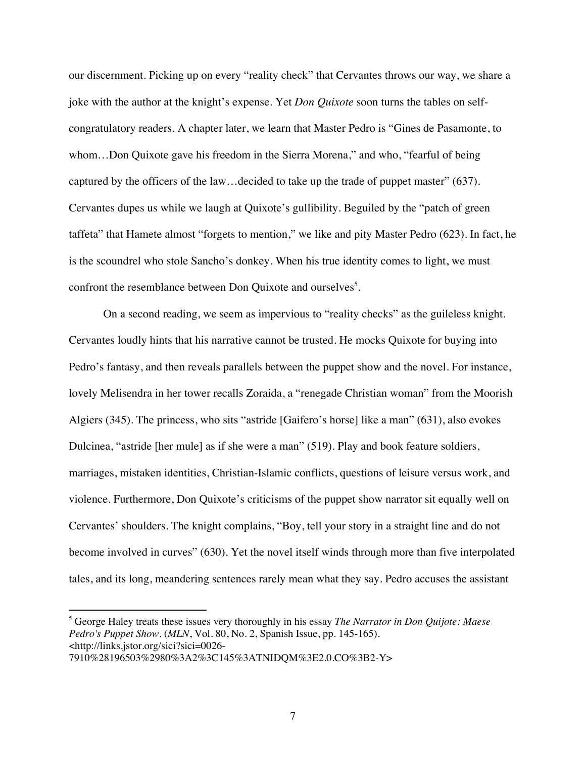our discernment. Picking up on every "reality check" that Cervantes throws our way, we share a joke with the author at the knight's expense. Yet *Don Quixote* soon turns the tables on selfcongratulatory readers. A chapter later, we learn that Master Pedro is "Gines de Pasamonte, to whom…Don Quixote gave his freedom in the Sierra Morena," and who, "fearful of being captured by the officers of the law…decided to take up the trade of puppet master" (637). Cervantes dupes us while we laugh at Quixote's gullibility. Beguiled by the "patch of green taffeta" that Hamete almost "forgets to mention," we like and pity Master Pedro (623). In fact, he is the scoundrel who stole Sancho's donkey. When his true identity comes to light, we must confront the resemblance between Don Quixote and ourselves<sup>5</sup>.

On a second reading, we seem as impervious to "reality checks" as the guileless knight. Cervantes loudly hints that his narrative cannot be trusted. He mocks Quixote for buying into Pedro's fantasy, and then reveals parallels between the puppet show and the novel. For instance, lovely Melisendra in her tower recalls Zoraida, a "renegade Christian woman" from the Moorish Algiers (345). The princess, who sits "astride [Gaifero's horse] like a man" (631), also evokes Dulcinea, "astride [her mule] as if she were a man" (519). Play and book feature soldiers, marriages, mistaken identities, Christian-Islamic conflicts, questions of leisure versus work, and violence. Furthermore, Don Quixote's criticisms of the puppet show narrator sit equally well on Cervantes' shoulders. The knight complains, "Boy, tell your story in a straight line and do not become involved in curves" (630). Yet the novel itself winds through more than five interpolated tales, and its long, meandering sentences rarely mean what they say. Pedro accuses the assistant

<sup>5</sup> George Haley treats these issues very thoroughly in his essay *The Narrator in Don Quijote: Maese Pedro's Puppet Show*. (*MLN*, Vol. 80, No. 2, Spanish Issue, pp. 145-165). <http://links.jstor.org/sici?sici=0026-

<sup>7910%28196503%2980%3</sup>A2%3C145%3ATNIDQM%3E2.0.CO%3B2-Y>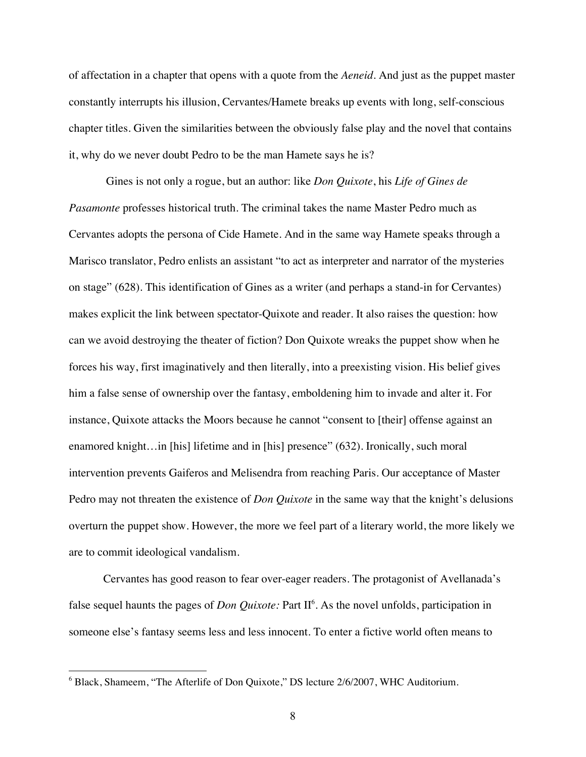of affectation in a chapter that opens with a quote from the *Aeneid*. And just as the puppet master constantly interrupts his illusion, Cervantes/Hamete breaks up events with long, self-conscious chapter titles. Given the similarities between the obviously false play and the novel that contains it, why do we never doubt Pedro to be the man Hamete says he is?

 Gines is not only a rogue, but an author: like *Don Quixote*, his *Life of Gines de Pasamonte* professes historical truth. The criminal takes the name Master Pedro much as Cervantes adopts the persona of Cide Hamete. And in the same way Hamete speaks through a Marisco translator, Pedro enlists an assistant "to act as interpreter and narrator of the mysteries on stage" (628). This identification of Gines as a writer (and perhaps a stand-in for Cervantes) makes explicit the link between spectator-Quixote and reader. It also raises the question: how can we avoid destroying the theater of fiction? Don Quixote wreaks the puppet show when he forces his way, first imaginatively and then literally, into a preexisting vision. His belief gives him a false sense of ownership over the fantasy, emboldening him to invade and alter it. For instance, Quixote attacks the Moors because he cannot "consent to [their] offense against an enamored knight…in [his] lifetime and in [his] presence" (632). Ironically, such moral intervention prevents Gaiferos and Melisendra from reaching Paris. Our acceptance of Master Pedro may not threaten the existence of *Don Quixote* in the same way that the knight's delusions overturn the puppet show. However, the more we feel part of a literary world, the more likely we are to commit ideological vandalism.

Cervantes has good reason to fear over-eager readers. The protagonist of Avellanada's false sequel haunts the pages of *Don Quixote*: Part II<sup>6</sup>. As the novel unfolds, participation in someone else's fantasy seems less and less innocent. To enter a fictive world often means to

<sup>&</sup>lt;sup>6</sup> Black, Shameem, "The Afterlife of Don Quixote," DS lecture 2/6/2007, WHC Auditorium.